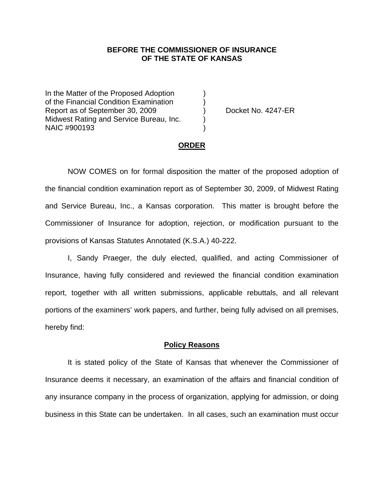## **BEFORE THE COMMISSIONER OF INSURANCE OF THE STATE OF KANSAS**

In the Matter of the Proposed Adoption of the Financial Condition Examination ) Report as of September 30, 2009 (a) Docket No. 4247-ER Midwest Rating and Service Bureau, Inc. ) NAIC #900193 )

#### **ORDER**

 NOW COMES on for formal disposition the matter of the proposed adoption of the financial condition examination report as of September 30, 2009, of Midwest Rating and Service Bureau, Inc., a Kansas corporation. This matter is brought before the Commissioner of Insurance for adoption, rejection, or modification pursuant to the provisions of Kansas Statutes Annotated (K.S.A.) 40-222.

 I, Sandy Praeger, the duly elected, qualified, and acting Commissioner of Insurance, having fully considered and reviewed the financial condition examination report, together with all written submissions, applicable rebuttals, and all relevant portions of the examiners' work papers, and further, being fully advised on all premises, hereby find:

### **Policy Reasons**

 It is stated policy of the State of Kansas that whenever the Commissioner of Insurance deems it necessary, an examination of the affairs and financial condition of any insurance company in the process of organization, applying for admission, or doing business in this State can be undertaken. In all cases, such an examination must occur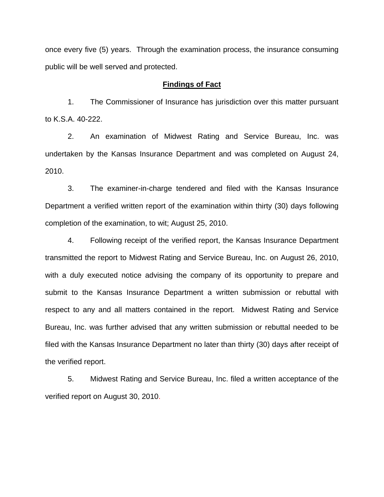once every five (5) years. Through the examination process, the insurance consuming public will be well served and protected.

### **Findings of Fact**

 1. The Commissioner of Insurance has jurisdiction over this matter pursuant to K.S.A. 40-222.

 2. An examination of Midwest Rating and Service Bureau, Inc. was undertaken by the Kansas Insurance Department and was completed on August 24, 2010.

 3. The examiner-in-charge tendered and filed with the Kansas Insurance Department a verified written report of the examination within thirty (30) days following completion of the examination, to wit; August 25, 2010.

 4. Following receipt of the verified report, the Kansas Insurance Department transmitted the report to Midwest Rating and Service Bureau, Inc. on August 26, 2010, with a duly executed notice advising the company of its opportunity to prepare and submit to the Kansas Insurance Department a written submission or rebuttal with respect to any and all matters contained in the report. Midwest Rating and Service Bureau, Inc. was further advised that any written submission or rebuttal needed to be filed with the Kansas Insurance Department no later than thirty (30) days after receipt of the verified report.

 5. Midwest Rating and Service Bureau, Inc. filed a written acceptance of the verified report on August 30, 2010.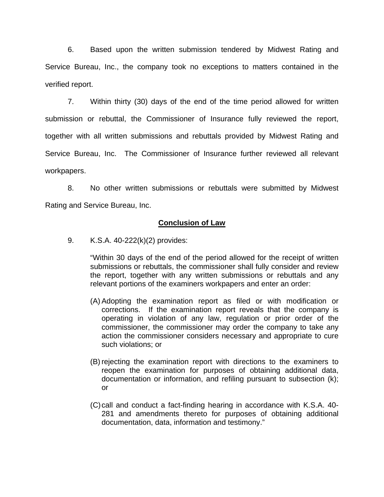6. Based upon the written submission tendered by Midwest Rating and Service Bureau, Inc., the company took no exceptions to matters contained in the verified report.

 7. Within thirty (30) days of the end of the time period allowed for written submission or rebuttal, the Commissioner of Insurance fully reviewed the report, together with all written submissions and rebuttals provided by Midwest Rating and Service Bureau, Inc. The Commissioner of Insurance further reviewed all relevant workpapers.

 8. No other written submissions or rebuttals were submitted by Midwest Rating and Service Bureau, Inc.

## **Conclusion of Law**

9. K.S.A. 40-222(k)(2) provides:

"Within 30 days of the end of the period allowed for the receipt of written submissions or rebuttals, the commissioner shall fully consider and review the report, together with any written submissions or rebuttals and any relevant portions of the examiners workpapers and enter an order:

- (A) Adopting the examination report as filed or with modification or corrections. If the examination report reveals that the company is operating in violation of any law, regulation or prior order of the commissioner, the commissioner may order the company to take any action the commissioner considers necessary and appropriate to cure such violations; or
- (B) rejecting the examination report with directions to the examiners to reopen the examination for purposes of obtaining additional data, documentation or information, and refiling pursuant to subsection (k); or
- (C) call and conduct a fact-finding hearing in accordance with K.S.A. 40- 281 and amendments thereto for purposes of obtaining additional documentation, data, information and testimony."